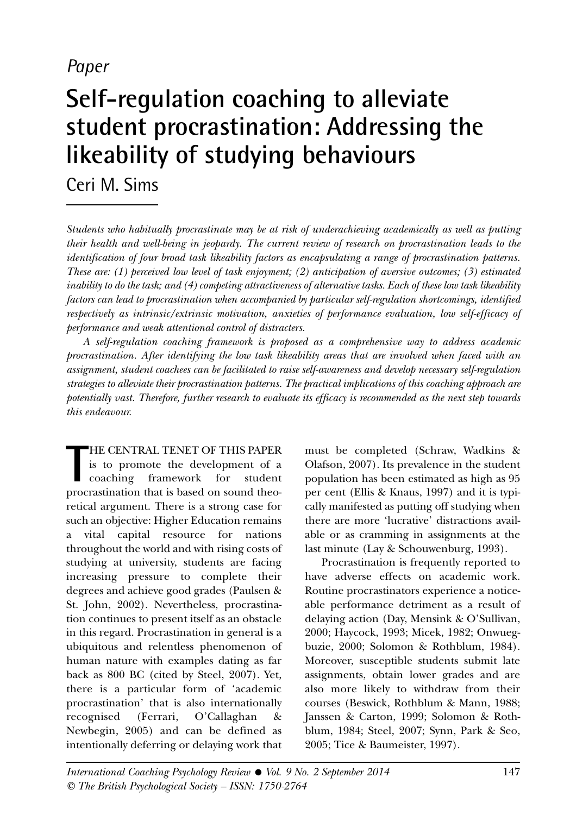# *Paper*

# **Self-regulation coaching to alleviate student procrastination: Addressing the likeability of studying behaviours**

Ceri M. Sims

*Students who habitually procrastinate may be at risk of underachieving academically as well as putting their health and well-being in jeopardy. The current review of research on procrastination leads to the identification of four broad task likeability factors as encapsulating a range of procrastination patterns. These are: (1) perceived low level of task enjoyment; (2) anticipation of aversive outcomes; (3) estimated* inability to do the task; and (4) competing attractiveness of alternative tasks. Each of these low task likeability *factors can lead to procrastination when accompanied by particular self-regulation shortcomings, identified respectively as intrinsic/extrinsic motivation, anxieties of performance evaluation, low self-efficacy of performance and weak attentional control of distracters.*

*A self-regulation coaching framework is proposed as a comprehensive way to address academic procrastination. After identifying the low task likeability areas that are involved when faced with an assignment, student coachees can be facilitated to raise self-awareness and develop necessary self-regulation strategies to alleviate their procrastination patterns. The practical implications of this coaching approach are potentially vast. Therefore, further research to evaluate its efficacy is recommended as the next step towards this endeavour.*

THE CENTRAL TENET OF THIS PAPER<br>
is to promote the development of a<br>
coaching framework for student<br>
procrastination that is based on sound theo-HE CENTRAL TENET OF THIS PAPER is to promote the development of a coaching framework for student retical argument. There is a strong case for such an objective: Higher Education remains a vital capital resource for nations throughout the world and with rising costs of studying at university, students are facing increasing pressure to complete their degrees and achieve good grades (Paulsen & St. John, 2002). Nevertheless, procrastination continues to present itself as an obstacle in this regard. Procrastination in general is a ubiquitous and relentless phenomenon of human nature with examples dating as far back as 800 BC (cited by Steel, 2007). Yet, there is a particular form of 'academic procrastination' that is also internationally recognised (Ferrari, O'Callaghan & Newbegin, 2005) and can be defined as intentionally deferring or delaying work that

must be completed (Schraw, Wadkins & Olafson, 2007). Its prevalence in the student population has been estimated as high as 95 per cent (Ellis & Knaus, 1997) and it is typically manifested as putting off studying when there are more 'lucrative' distractions available or as cramming in assignments at the last minute (Lay & Schouwenburg, 1993).

Procrastination is frequently reported to have adverse effects on academic work. Routine procrastinators experience a noticeable performance detriment as a result of delaying action (Day, Mensink & O'Sullivan, 2000; Haycock, 1993; Micek, 1982; Onwuegbuzie, 2000; Solomon & Rothblum, 1984). Moreover, susceptible students submit late assignments, obtain lower grades and are also more likely to withdraw from their courses (Beswick, Rothblum & Mann, 1988; Janssen & Carton, 1999; Solomon & Rothblum, 1984; Steel, 2007; Synn, Park & Seo, 2005; Tice & Baumeister, 1997).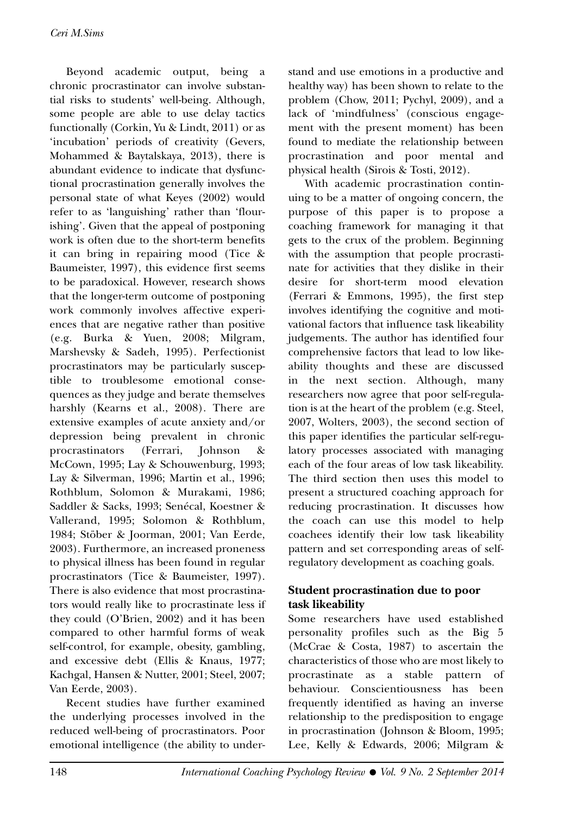Beyond academic output, being a chronic procrastinator can involve substantial risks to students' well-being. Although, some people are able to use delay tactics functionally (Corkin, Yu & Lindt, 2011) or as 'incubation' periods of creativity (Gevers, Mohammed & Baytalskaya, 2013), there is abundant evidence to indicate that dysfunctional procrastination generally involves the personal state of what Keyes (2002) would refer to as 'languishing' rather than 'flourishing'. Given that the appeal of postponing work is often due to the short-term benefits it can bring in repairing mood (Tice & Baumeister, 1997), this evidence first seems to be paradoxical. However, research shows that the longer-term outcome of postponing work commonly involves affective experiences that are negative rather than positive (e.g. Burka & Yuen, 2008; Milgram, Marshevsky & Sadeh, 1995). Perfectionist procrastinators may be particularly susceptible to troublesome emotional consequences as they judge and berate themselves harshly (Kearns et al., 2008). There are extensive examples of acute anxiety and/or depression being prevalent in chronic procrastinators (Ferrari, Johnson & McCown, 1995; Lay & Schouwenburg, 1993; Lay & Silverman, 1996; Martin et al., 1996; Rothblum, Solomon & Murakami, 1986; Saddler & Sacks, 1993; Senécal, Koestner & Vallerand, 1995; Solomon & Rothblum, 1984; Stöber & Joorman, 2001; Van Eerde, 2003). Furthermore, an increased proneness to physical illness has been found in regular procrastinators (Tice & Baumeister, 1997). There is also evidence that most procrastinators would really like to procrastinate less if they could (O'Brien, 2002) and it has been compared to other harmful forms of weak self-control, for example, obesity, gambling, and excessive debt (Ellis & Knaus, 1977; Kachgal, Hansen & Nutter, 2001; Steel, 2007; Van Eerde, 2003).

Recent studies have further examined the underlying processes involved in the reduced well-being of procrastinators. Poor emotional intelligence (the ability to understand and use emotions in a productive and healthy way) has been shown to relate to the problem (Chow, 2011; Pychyl, 2009), and a lack of 'mindfulness' (conscious engagement with the present moment) has been found to mediate the relationship between procrastination and poor mental and physical health (Sirois & Tosti, 2012).

With academic procrastination continuing to be a matter of ongoing concern, the purpose of this paper is to propose a coaching framework for managing it that gets to the crux of the problem. Beginning with the assumption that people procrastinate for activities that they dislike in their desire for short-term mood elevation (Ferrari & Emmons, 1995), the first step involves identifying the cognitive and motivational factors that influence task likeability judgements. The author has identified four comprehensive factors that lead to low likeability thoughts and these are discussed in the next section. Although, many researchers now agree that poor self-regulation is at the heart of the problem (e.g. Steel, 2007, Wolters, 2003), the second section of this paper identifies the particular self-regulatory processes associated with managing each of the four areas of low task likeability. The third section then uses this model to present a structured coaching approach for reducing procrastination. It discusses how the coach can use this model to help coachees identify their low task likeability pattern and set corresponding areas of selfregulatory development as coaching goals.

#### **Student procrastination due to poor task likeability**

Some researchers have used established personality profiles such as the Big 5 (McCrae & Costa, 1987) to ascertain the characteristics of those who are most likely to procrastinate as a stable pattern of behaviour. Conscientiousness has been frequently identified as having an inverse relationship to the predisposition to engage in procrastination (Johnson & Bloom, 1995; Lee, Kelly & Edwards, 2006; Milgram &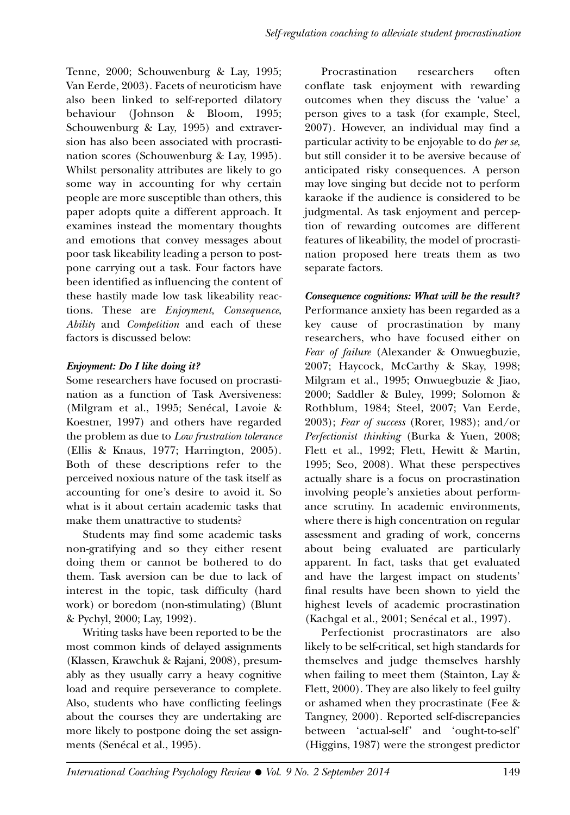Tenne, 2000; Schouwenburg & Lay, 1995; Van Eerde, 2003). Facets of neuroticism have also been linked to self-reported dilatory behaviour (Johnson & Bloom, 1995; Schouwenburg & Lay, 1995) and extraversion has also been associated with procrastination scores (Schouwenburg & Lay, 1995). Whilst personality attributes are likely to go some way in accounting for why certain people are more susceptible than others, this paper adopts quite a different approach. It examines instead the momentary thoughts and emotions that convey messages about poor task likeability leading a person to postpone carrying out a task. Four factors have been identified as influencing the content of these hastily made low task likeability reactions. These are *Enjoyment*, *Consequence*, *Ability* and *Competition* and each of these factors is discussed below:

# **Enjoyment: Do I like doing it?**

Some researchers have focused on procrastination as a function of Task Aversiveness: (Milgram et al., 1995; Senécal, Lavoie & Koestner, 1997) and others have regarded the problem as due to *Low frustration tolerance* (Ellis & Knaus, 1977; Harrington, 2005). Both of these descriptions refer to the perceived noxious nature of the task itself as accounting for one's desire to avoid it. So what is it about certain academic tasks that make them unattractive to students?

Students may find some academic tasks non-gratifying and so they either resent doing them or cannot be bothered to do them. Task aversion can be due to lack of interest in the topic, task difficulty (hard work) or boredom (non-stimulating) (Blunt & Pychyl, 2000; Lay, 1992).

Writing tasks have been reported to be the most common kinds of delayed assignments (Klassen, Krawchuk & Rajani, 2008), presumably as they usually carry a heavy cognitive load and require perseverance to complete. Also, students who have conflicting feelings about the courses they are undertaking are more likely to postpone doing the set assignments (Senécal et al., 1995).

Procrastination researchers often conflate task enjoyment with rewarding outcomes when they discuss the 'value' a person gives to a task (for example, Steel, 2007). However, an individual may find a particular activity to be enjoyable to do *per se*, but still consider it to be aversive because of anticipated risky consequences. A person may love singing but decide not to perform karaoke if the audience is considered to be judgmental. As task enjoyment and perception of rewarding outcomes are different features of likeability, the model of procrastination proposed here treats them as two separate factors.

# **Consequence cognitions: What will be the result?**

Performance anxiety has been regarded as a key cause of procrastination by many researchers, who have focused either on *Fear of failure* (Alexander & Onwuegbuzie, 2007; Haycock, McCarthy & Skay, 1998; Milgram et al., 1995; Onwuegbuzie & Jiao, 2000; Saddler & Buley, 1999; Solomon & Rothblum, 1984; Steel, 2007; Van Eerde, 2003); *Fear of success* (Rorer, 1983); and/or *Perfectionist thinking* (Burka & Yuen, 2008; Flett et al., 1992; Flett, Hewitt & Martin, 1995; Seo, 2008). What these perspectives actually share is a focus on procrastination involving people's anxieties about performance scrutiny. In academic environments, where there is high concentration on regular assessment and grading of work, concerns about being evaluated are particularly apparent. In fact, tasks that get evaluated and have the largest impact on students' final results have been shown to yield the highest levels of academic procrastination (Kachgal et al., 2001; Senécal et al., 1997).

Perfectionist procrastinators are also likely to be self-critical, set high standards for themselves and judge themselves harshly when failing to meet them (Stainton, Lay & Flett, 2000). They are also likely to feel guilty or ashamed when they procrastinate (Fee & Tangney, 2000). Reported self-discrepancies between 'actual-self' and 'ought-to-self' (Higgins, 1987) were the strongest predictor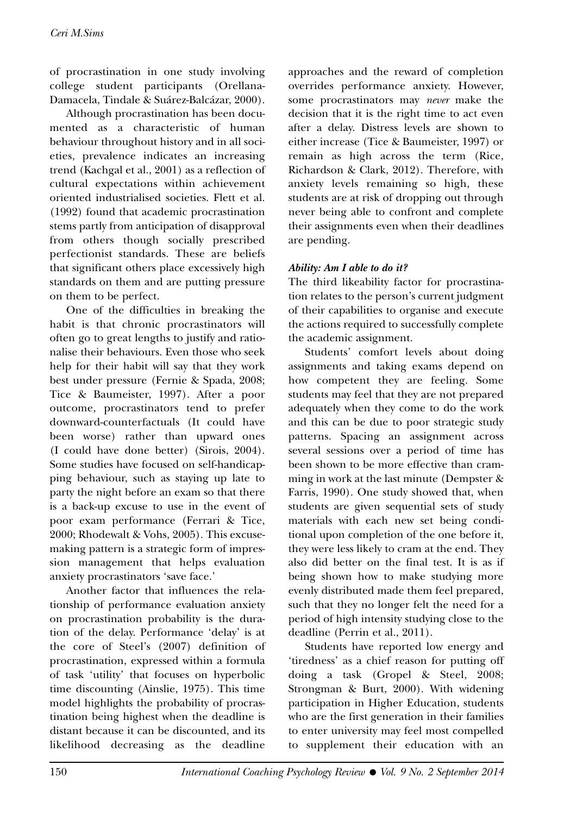of procrastination in one study involving college student participants (Orellana-Damacela, Tindale & Suárez-Balcázar, 2000).

Although procrastination has been documented as a characteristic of human behaviour throughout history and in all societies, prevalence indicates an increasing trend (Kachgal et al., 2001) as a reflection of cultural expectations within achievement oriented industrialised societies. Flett et al. (1992) found that academic procrastination stems partly from anticipation of disapproval from others though socially prescribed perfectionist standards. These are beliefs that significant others place excessively high standards on them and are putting pressure on them to be perfect.

One of the difficulties in breaking the habit is that chronic procrastinators will often go to great lengths to justify and rationalise their behaviours. Even those who seek help for their habit will say that they work best under pressure (Fernie & Spada, 2008; Tice & Baumeister, 1997). After a poor outcome, procrastinators tend to prefer downward-counterfactuals (It could have been worse) rather than upward ones (I could have done better) (Sirois, 2004). Some studies have focused on self-handicapping behaviour, such as staying up late to party the night before an exam so that there is a back-up excuse to use in the event of poor exam performance (Ferrari & Tice, 2000; Rhodewalt & Vohs, 2005). This excusemaking pattern is a strategic form of impression management that helps evaluation anxiety procrastinators 'save face.'

Another factor that influences the relationship of performance evaluation anxiety on procrastination probability is the duration of the delay. Performance 'delay' is at the core of Steel's (2007) definition of procrastination, expressed within a formula of task 'utility' that focuses on hyperbolic time discounting (Ainslie, 1975). This time model highlights the probability of procrastination being highest when the deadline is distant because it can be discounted, and its likelihood decreasing as the deadline

approaches and the reward of completion overrides performance anxiety. However, some procrastinators may *never* make the decision that it is the right time to act even after a delay. Distress levels are shown to either increase (Tice & Baumeister, 1997) or remain as high across the term (Rice, Richardson & Clark, 2012). Therefore, with anxiety levels remaining so high, these students are at risk of dropping out through never being able to confront and complete their assignments even when their deadlines are pending.

#### **Ability: Am I able to do it?**

The third likeability factor for procrastination relates to the person's current judgment of their capabilities to organise and execute the actions required to successfully complete the academic assignment.

Students' comfort levels about doing assignments and taking exams depend on how competent they are feeling. Some students may feel that they are not prepared adequately when they come to do the work and this can be due to poor strategic study patterns. Spacing an assignment across several sessions over a period of time has been shown to be more effective than cramming in work at the last minute (Dempster & Farris, 1990). One study showed that, when students are given sequential sets of study materials with each new set being conditional upon completion of the one before it, they were less likely to cram at the end. They also did better on the final test. It is as if being shown how to make studying more evenly distributed made them feel prepared, such that they no longer felt the need for a period of high intensity studying close to the deadline (Perrin et al., 2011).

Students have reported low energy and 'tiredness' as a chief reason for putting off doing a task (Gropel & Steel, 2008; Strongman & Burt, 2000). With widening participation in Higher Education, students who are the first generation in their families to enter university may feel most compelled to supplement their education with an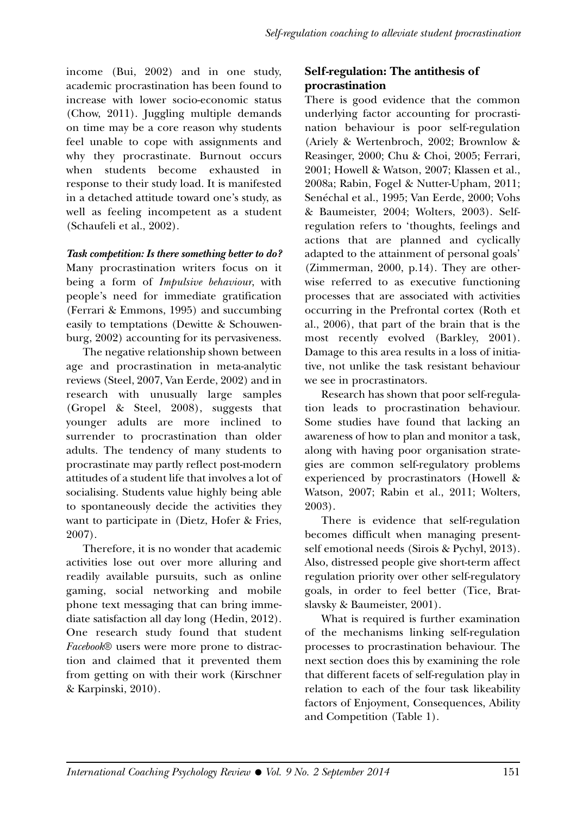income (Bui, 2002) and in one study, academic procrastination has been found to increase with lower socio-economic status (Chow, 2011). Juggling multiple demands on time may be a core reason why students feel unable to cope with assignments and why they procrastinate. Burnout occurs when students become exhausted in response to their study load. It is manifested in a detached attitude toward one's study, as well as feeling incompetent as a student (Schaufeli et al., 2002).

**Task competition: Is there something better to do?** Many procrastination writers focus on it being a form of *Impulsive behaviour*, with people's need for immediate gratification (Ferrari & Emmons, 1995) and succumbing easily to temptations (Dewitte & Schouwenburg, 2002) accounting for its pervasiveness.

The negative relationship shown between age and procrastination in meta-analytic reviews (Steel, 2007, Van Eerde, 2002) and in research with unusually large samples (Gropel & Steel, 2008), suggests that younger adults are more inclined to surrender to procrastination than older adults. The tendency of many students to procrastinate may partly reflect post-modern attitudes of a student life that involves a lot of socialising. Students value highly being able to spontaneously decide the activities they want to participate in (Dietz, Hofer & Fries, 2007).

Therefore, it is no wonder that academic activities lose out over more alluring and readily available pursuits, such as online gaming, social networking and mobile phone text messaging that can bring immediate satisfaction all day long (Hedin, 2012). One research study found that student *Facebook*® users were more prone to distraction and claimed that it prevented them from getting on with their work (Kirschner & Karpinski, 2010).

# **Self-regulation: The antithesis of procrastination**

There is good evidence that the common underlying factor accounting for procrastination behaviour is poor self-regulation (Ariely & Wertenbroch, 2002; Brownlow & Reasinger, 2000; Chu & Choi, 2005; Ferrari, 2001; Howell & Watson, 2007; Klassen et al., 2008a; Rabin, Fogel & Nutter-Upham, 2011; Senéchal et al., 1995; Van Eerde, 2000; Vohs & Baumeister, 2004; Wolters, 2003). Selfregulation refers to 'thoughts, feelings and actions that are planned and cyclically adapted to the attainment of personal goals' (Zimmerman, 2000, p.14). They are otherwise referred to as executive functioning processes that are associated with activities occurring in the Prefrontal cortex (Roth et al., 2006), that part of the brain that is the most recently evolved (Barkley, 2001). Damage to this area results in a loss of initiative, not unlike the task resistant behaviour we see in procrastinators.

Research has shown that poor self-regulation leads to procrastination behaviour. Some studies have found that lacking an awareness of how to plan and monitor a task, along with having poor organisation strategies are common self-regulatory problems experienced by procrastinators (Howell & Watson, 2007; Rabin et al., 2011; Wolters, 2003).

There is evidence that self-regulation becomes difficult when managing presentself emotional needs (Sirois & Pychyl, 2013). Also, distressed people give short-term affect regulation priority over other self-regulatory goals, in order to feel better (Tice, Bratslavsky & Baumeister, 2001).

What is required is further examination of the mechanisms linking self-regulation processes to procrastination behaviour. The next section does this by examining the role that different facets of self-regulation play in relation to each of the four task likeability factors of Enjoyment, Consequences, Ability and Competition (Table 1).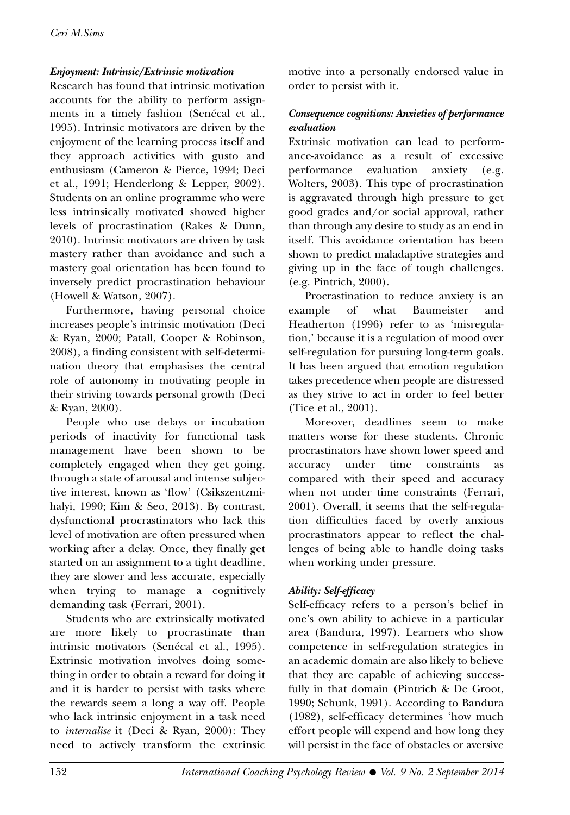#### **Enjoyment: Intrinsic/Extrinsic motivation**

Research has found that intrinsic motivation accounts for the ability to perform assignments in a timely fashion (Senécal et al., 1995). Intrinsic motivators are driven by the enjoyment of the learning process itself and they approach activities with gusto and enthusiasm (Cameron & Pierce, 1994; Deci et al., 1991; Henderlong & Lepper, 2002). Students on an online programme who were less intrinsically motivated showed higher levels of procrastination (Rakes & Dunn, 2010). Intrinsic motivators are driven by task mastery rather than avoidance and such a mastery goal orientation has been found to inversely predict procrastination behaviour (Howell & Watson, 2007).

Furthermore, having personal choice increases people's intrinsic motivation (Deci & Ryan, 2000; Patall, Cooper & Robinson, 2008), a finding consistent with self-determination theory that emphasises the central role of autonomy in motivating people in their striving towards personal growth (Deci & Ryan, 2000).

People who use delays or incubation periods of inactivity for functional task management have been shown to be completely engaged when they get going, through a state of arousal and intense subjective interest, known as 'flow' (Csikszentzmihalyi, 1990; Kim & Seo, 2013). By contrast, dysfunctional procrastinators who lack this level of motivation are often pressured when working after a delay. Once, they finally get started on an assignment to a tight deadline, they are slower and less accurate, especially when trying to manage a cognitively demanding task (Ferrari, 2001).

Students who are extrinsically motivated are more likely to procrastinate than intrinsic motivators (Senécal et al., 1995). Extrinsic motivation involves doing something in order to obtain a reward for doing it and it is harder to persist with tasks where the rewards seem a long a way off. People who lack intrinsic enjoyment in a task need to *internalise* it (Deci & Ryan, 2000): They need to actively transform the extrinsic motive into a personally endorsed value in order to persist with it.

# **Consequence cognitions: Anxieties of performance evaluation**

Extrinsic motivation can lead to performance-avoidance as a result of excessive performance evaluation anxiety (e.g. Wolters, 2003). This type of procrastination is aggravated through high pressure to get good grades and/or social approval, rather than through any desire to study as an end in itself. This avoidance orientation has been shown to predict maladaptive strategies and giving up in the face of tough challenges. (e.g. Pintrich, 2000).

Procrastination to reduce anxiety is an example of what Baumeister and Heatherton (1996) refer to as 'misregulation,' because it is a regulation of mood over self-regulation for pursuing long-term goals. It has been argued that emotion regulation takes precedence when people are distressed as they strive to act in order to feel better (Tice et al., 2001).

Moreover, deadlines seem to make matters worse for these students. Chronic procrastinators have shown lower speed and accuracy under time constraints as compared with their speed and accuracy when not under time constraints (Ferrari, 2001). Overall, it seems that the self-regulation difficulties faced by overly anxious procrastinators appear to reflect the challenges of being able to handle doing tasks when working under pressure.

# **Ability: Self-efficacy**

Self-efficacy refers to a person's belief in one's own ability to achieve in a particular area (Bandura, 1997). Learners who show competence in self-regulation strategies in an academic domain are also likely to believe that they are capable of achieving successfully in that domain (Pintrich & De Groot, 1990; Schunk, 1991). According to Bandura (1982), self-efficacy determines 'how much effort people will expend and how long they will persist in the face of obstacles or aversive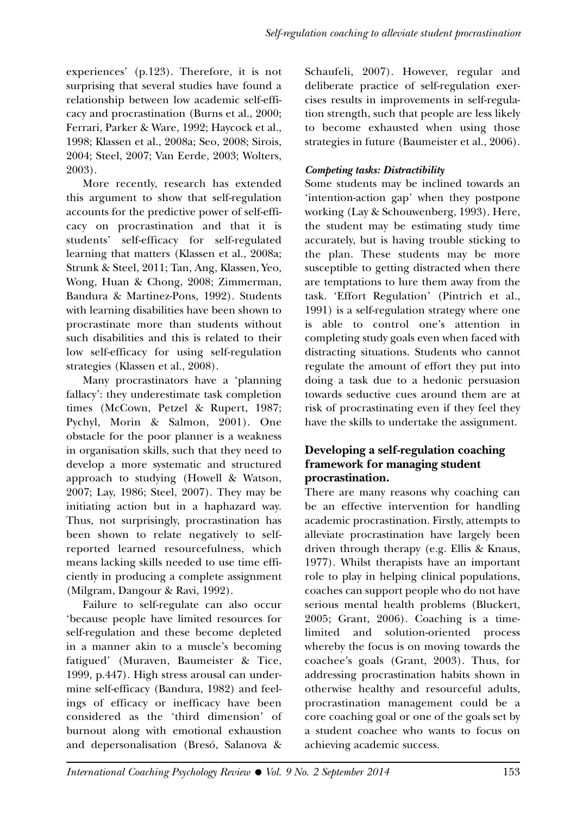experiences' (p.123). Therefore, it is not surprising that several studies have found a relationship between low academic self-efficacy and procrastination (Burns et al., 2000; Ferrari, Parker & Ware, 1992; Haycock et al., 1998; Klassen et al., 2008a; Seo, 2008; Sirois, 2004; Steel, 2007; Van Eerde, 2003; Wolters, 2003).

More recently, research has extended this argument to show that self-regulation accounts for the predictive power of self-efficacy on procrastination and that it is students' self-efficacy for self-regulated learning that matters (Klassen et al., 2008a; Strunk & Steel, 2011; Tan, Ang, Klassen, Yeo, Wong, Huan & Chong, 2008; Zimmerman, Bandura & Martinez-Pons, 1992). Students with learning disabilities have been shown to procrastinate more than students without such disabilities and this is related to their low self-efficacy for using self-regulation strategies (Klassen et al., 2008).

Many procrastinators have a 'planning fallacy': they underestimate task completion times (McCown, Petzel & Rupert, 1987; Pychyl, Morin & Salmon, 2001). One obstacle for the poor planner is a weakness in organisation skills, such that they need to develop a more systematic and structured approach to studying (Howell & Watson, 2007; Lay, 1986; Steel, 2007). They may be initiating action but in a haphazard way. Thus, not surprisingly, procrastination has been shown to relate negatively to selfreported learned resourcefulness, which means lacking skills needed to use time efficiently in producing a complete assignment (Milgram, Dangour & Ravi, 1992).

Failure to self-regulate can also occur 'because people have limited resources for self-regulation and these become depleted in a manner akin to a muscle's becoming fatigued' (Muraven, Baumeister & Tice, 1999, p.447). High stress arousal can undermine self-efficacy (Bandura, 1982) and feelings of efficacy or inefficacy have been considered as the 'third dimension' of burnout along with emotional exhaustion and depersonalisation (Bresó, Salanova & Schaufeli, 2007). However, regular and deliberate practice of self-regulation exercises results in improvements in self-regulation strength, such that people are less likely to become exhausted when using those strategies in future (Baumeister et al., 2006).

# **Competing tasks: Distractibility**

Some students may be inclined towards an 'intention-action gap' when they postpone working (Lay & Schouwenberg, 1993). Here, the student may be estimating study time accurately, but is having trouble sticking to the plan. These students may be more susceptible to getting distracted when there are temptations to lure them away from the task. 'Effort Regulation' (Pintrich et al., 1991) is a self-regulation strategy where one is able to control one's attention in completing study goals even when faced with distracting situations. Students who cannot regulate the amount of effort they put into doing a task due to a hedonic persuasion towards seductive cues around them are at risk of procrastinating even if they feel they have the skills to undertake the assignment.

# **Developing a self-regulation coaching framework for managing student procrastination.**

There are many reasons why coaching can be an effective intervention for handling academic procrastination. Firstly, attempts to alleviate procrastination have largely been driven through therapy (e.g. Ellis & Knaus, 1977). Whilst therapists have an important role to play in helping clinical populations, coaches can support people who do not have serious mental health problems (Bluckert, 2005; Grant, 2006). Coaching is a timelimited and solution-oriented process whereby the focus is on moving towards the coachee's goals (Grant, 2003). Thus, for addressing procrastination habits shown in otherwise healthy and resourceful adults, procrastination management could be a core coaching goal or one of the goals set by a student coachee who wants to focus on achieving academic success.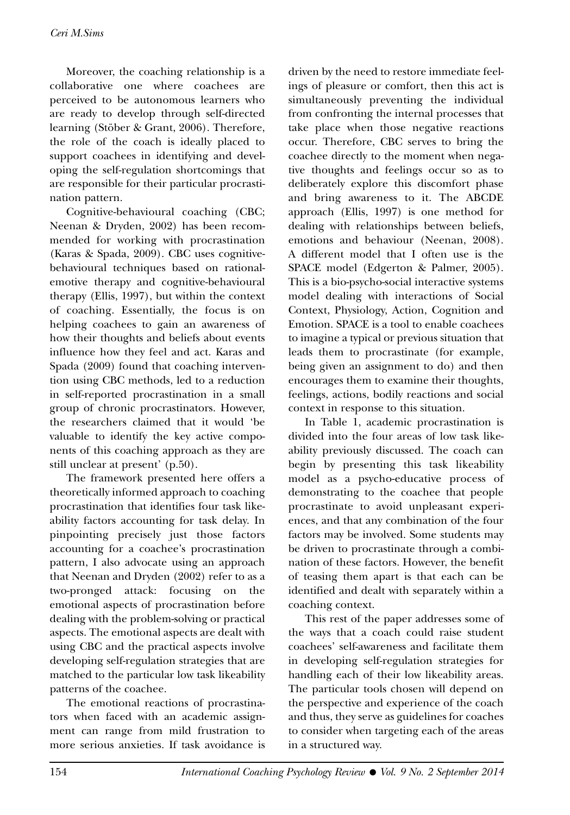Moreover, the coaching relationship is a collaborative one where coachees are perceived to be autonomous learners who are ready to develop through self-directed learning (Stöber & Grant, 2006). Therefore, the role of the coach is ideally placed to support coachees in identifying and developing the self-regulation shortcomings that are responsible for their particular procrastination pattern.

Cognitive-behavioural coaching (CBC; Neenan & Dryden, 2002) has been recommended for working with procrastination (Karas & Spada, 2009). CBC uses cognitivebehavioural techniques based on rationalemotive therapy and cognitive-behavioural therapy (Ellis, 1997), but within the context of coaching. Essentially, the focus is on helping coachees to gain an awareness of how their thoughts and beliefs about events influence how they feel and act. Karas and Spada (2009) found that coaching intervention using CBC methods, led to a reduction in self-reported procrastination in a small group of chronic procrastinators. However, the researchers claimed that it would 'be valuable to identify the key active components of this coaching approach as they are still unclear at present' (p.50).

The framework presented here offers a theoretically informed approach to coaching procrastination that identifies four task likeability factors accounting for task delay. In pinpointing precisely just those factors accounting for a coachee's procrastination pattern, I also advocate using an approach that Neenan and Dryden (2002) refer to as a two-pronged attack: focusing on the emotional aspects of procrastination before dealing with the problem-solving or practical aspects. The emotional aspects are dealt with using CBC and the practical aspects involve developing self-regulation strategies that are matched to the particular low task likeability patterns of the coachee.

The emotional reactions of procrastinators when faced with an academic assignment can range from mild frustration to more serious anxieties. If task avoidance is

driven by the need to restore immediate feelings of pleasure or comfort, then this act is simultaneously preventing the individual from confronting the internal processes that take place when those negative reactions occur. Therefore, CBC serves to bring the coachee directly to the moment when negative thoughts and feelings occur so as to deliberately explore this discomfort phase and bring awareness to it. The ABCDE approach (Ellis, 1997) is one method for dealing with relationships between beliefs, emotions and behaviour (Neenan, 2008). A different model that I often use is the SPACE model (Edgerton & Palmer, 2005). This is a bio-psycho-social interactive systems model dealing with interactions of Social Context, Physiology, Action, Cognition and Emotion. SPACE is a tool to enable coachees to imagine a typical or previous situation that leads them to procrastinate (for example, being given an assignment to do) and then encourages them to examine their thoughts, feelings, actions, bodily reactions and social context in response to this situation.

In Table 1, academic procrastination is divided into the four areas of low task likeability previously discussed. The coach can begin by presenting this task likeability model as a psycho-educative process of demonstrating to the coachee that people procrastinate to avoid unpleasant experiences, and that any combination of the four factors may be involved. Some students may be driven to procrastinate through a combination of these factors. However, the benefit of teasing them apart is that each can be identified and dealt with separately within a coaching context.

This rest of the paper addresses some of the ways that a coach could raise student coachees' self-awareness and facilitate them in developing self-regulation strategies for handling each of their low likeability areas. The particular tools chosen will depend on the perspective and experience of the coach and thus, they serve as guidelines for coaches to consider when targeting each of the areas in a structured way.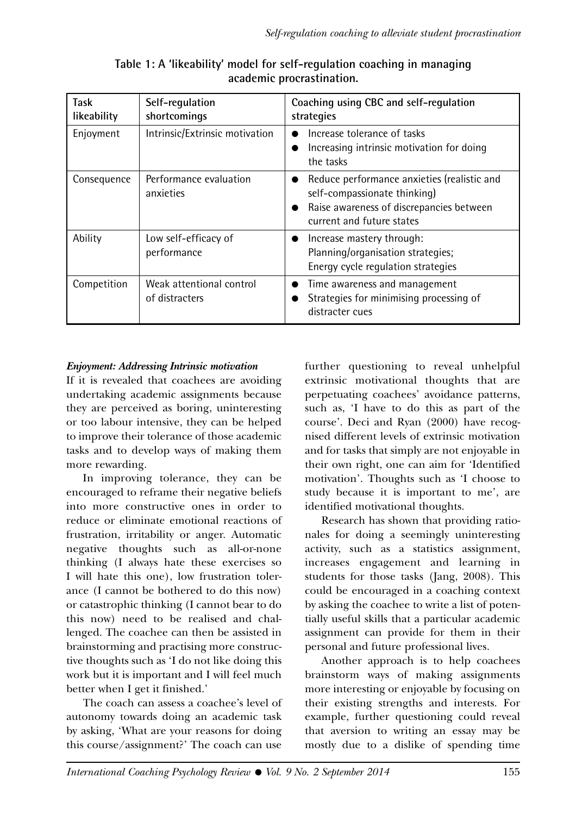| <b>Task</b><br>likeability | Self-regulation<br>shortcomings            | Coaching using CBC and self-regulation<br>strategies                                                                                                              |
|----------------------------|--------------------------------------------|-------------------------------------------------------------------------------------------------------------------------------------------------------------------|
| Enjoyment                  | Intrinsic/Extrinsic motivation             | Increase tolerance of tasks<br>Increasing intrinsic motivation for doing<br>the tasks                                                                             |
| Consequence                | Performance evaluation<br>anxieties        | Reduce performance anxieties (realistic and<br>self-compassionate thinking)<br>Raise awareness of discrepancies between<br>$\bullet$<br>current and future states |
| Ability                    | Low self-efficacy of<br>performance        | $\bullet$ Increase mastery through:<br>Planning/organisation strategies;<br>Energy cycle regulation strategies                                                    |
| Competition                | Weak attentional control<br>of distracters | Time awareness and management<br>Strategies for minimising processing of<br>distracter cues                                                                       |

**Table 1: A 'likeability' model for self-regulation coaching in managing academic procrastination.**

#### **Enjoyment: Addressing Intrinsic motivation**

If it is revealed that coachees are avoiding undertaking academic assignments because they are perceived as boring, uninteresting or too labour intensive, they can be helped to improve their tolerance of those academic tasks and to develop ways of making them more rewarding.

In improving tolerance, they can be encouraged to reframe their negative beliefs into more constructive ones in order to reduce or eliminate emotional reactions of frustration, irritability or anger. Automatic negative thoughts such as all-or-none thinking (I always hate these exercises so I will hate this one), low frustration tolerance (I cannot be bothered to do this now) or catastrophic thinking (I cannot bear to do this now) need to be realised and challenged. The coachee can then be assisted in brainstorming and practising more constructive thoughts such as 'I do not like doing this work but it is important and I will feel much better when I get it finished.'

The coach can assess a coachee's level of autonomy towards doing an academic task by asking, 'What are your reasons for doing this course/assignment?' The coach can use

further questioning to reveal unhelpful extrinsic motivational thoughts that are perpetuating coachees' avoidance patterns, such as, 'I have to do this as part of the course'. Deci and Ryan (2000) have recognised different levels of extrinsic motivation and for tasks that simply are not enjoyable in their own right, one can aim for 'Identified motivation'. Thoughts such as 'I choose to study because it is important to me', are identified motivational thoughts.

Research has shown that providing rationales for doing a seemingly uninteresting activity, such as a statistics assignment, increases engagement and learning in students for those tasks (Jang, 2008). This could be encouraged in a coaching context by asking the coachee to write a list of potentially useful skills that a particular academic assignment can provide for them in their personal and future professional lives.

Another approach is to help coachees brainstorm ways of making assignments more interesting or enjoyable by focusing on their existing strengths and interests. For example, further questioning could reveal that aversion to writing an essay may be mostly due to a dislike of spending time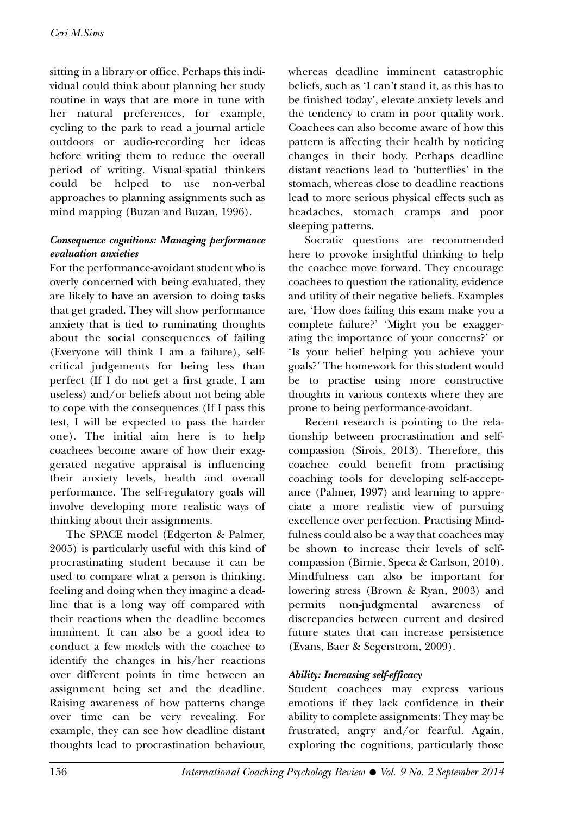sitting in a library or office. Perhaps this individual could think about planning her study routine in ways that are more in tune with her natural preferences, for example, cycling to the park to read a journal article outdoors or audio-recording her ideas before writing them to reduce the overall period of writing. Visual-spatial thinkers could be helped to use non-verbal approaches to planning assignments such as mind mapping (Buzan and Buzan, 1996).

#### **Consequence cognitions: Managing performance evaluation anxieties**

For the performance-avoidant student who is overly concerned with being evaluated, they are likely to have an aversion to doing tasks that get graded. They will show performance anxiety that is tied to ruminating thoughts about the social consequences of failing (Everyone will think I am a failure), selfcritical judgements for being less than perfect (If I do not get a first grade, I am useless) and/or beliefs about not being able to cope with the consequences (If I pass this test, I will be expected to pass the harder one). The initial aim here is to help coachees become aware of how their exaggerated negative appraisal is influencing their anxiety levels, health and overall performance. The self-regulatory goals will involve developing more realistic ways of thinking about their assignments.

The SPACE model (Edgerton & Palmer, 2005) is particularly useful with this kind of procrastinating student because it can be used to compare what a person is thinking, feeling and doing when they imagine a deadline that is a long way off compared with their reactions when the deadline becomes imminent. It can also be a good idea to conduct a few models with the coachee to identify the changes in his/her reactions over different points in time between an assignment being set and the deadline. Raising awareness of how patterns change over time can be very revealing. For example, they can see how deadline distant thoughts lead to procrastination behaviour, whereas deadline imminent catastrophic beliefs, such as 'I can't stand it, as this has to be finished today', elevate anxiety levels and the tendency to cram in poor quality work. Coachees can also become aware of how this pattern is affecting their health by noticing changes in their body. Perhaps deadline distant reactions lead to 'butterflies' in the stomach, whereas close to deadline reactions lead to more serious physical effects such as headaches, stomach cramps and poor sleeping patterns.

Socratic questions are recommended here to provoke insightful thinking to help the coachee move forward. They encourage coachees to question the rationality, evidence and utility of their negative beliefs. Examples are, 'How does failing this exam make you a complete failure?' 'Might you be exaggerating the importance of your concerns?' or 'Is your belief helping you achieve your goals?' The homework for this student would be to practise using more constructive thoughts in various contexts where they are prone to being performance-avoidant.

Recent research is pointing to the relationship between procrastination and selfcompassion (Sirois, 2013). Therefore, this coachee could benefit from practising coaching tools for developing self-acceptance (Palmer, 1997) and learning to appreciate a more realistic view of pursuing excellence over perfection. Practising Mindfulness could also be a way that coachees may be shown to increase their levels of selfcompassion (Birnie, Speca & Carlson, 2010). Mindfulness can also be important for lowering stress (Brown & Ryan, 2003) and permits non-judgmental awareness of discrepancies between current and desired future states that can increase persistence (Evans, Baer & Segerstrom, 2009).

#### **Ability: Increasing self-efficacy**

Student coachees may express various emotions if they lack confidence in their ability to complete assignments: They may be frustrated, angry and/or fearful. Again, exploring the cognitions, particularly those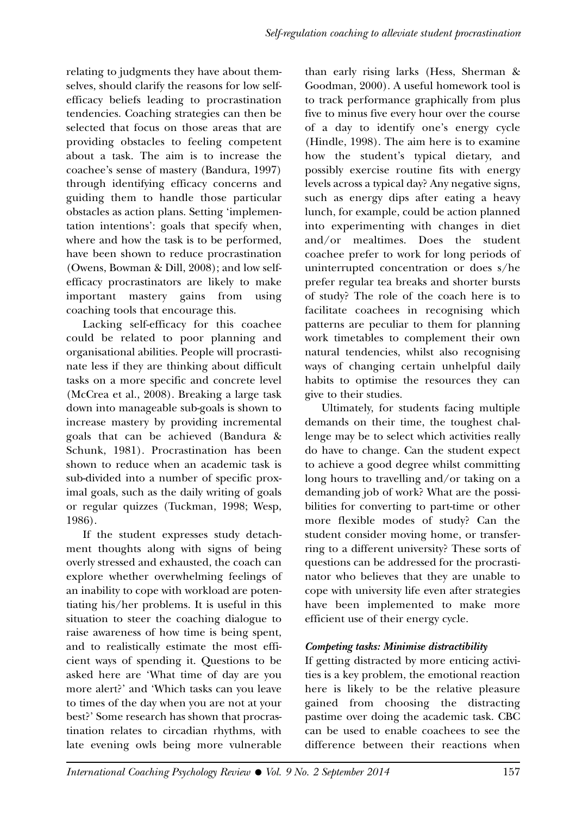relating to judgments they have about themselves, should clarify the reasons for low selfefficacy beliefs leading to procrastination tendencies. Coaching strategies can then be selected that focus on those areas that are providing obstacles to feeling competent about a task. The aim is to increase the coachee's sense of mastery (Bandura, 1997) through identifying efficacy concerns and guiding them to handle those particular obstacles as action plans. Setting 'implementation intentions': goals that specify when, where and how the task is to be performed, have been shown to reduce procrastination (Owens, Bowman & Dill, 2008); and low selfefficacy procrastinators are likely to make important mastery gains from using coaching tools that encourage this.

Lacking self-efficacy for this coachee could be related to poor planning and organisational abilities. People will procrastinate less if they are thinking about difficult tasks on a more specific and concrete level (McCrea et al., 2008). Breaking a large task down into manageable sub-goals is shown to increase mastery by providing incremental goals that can be achieved (Bandura & Schunk, 1981). Procrastination has been shown to reduce when an academic task is sub-divided into a number of specific proximal goals, such as the daily writing of goals or regular quizzes (Tuckman, 1998; Wesp, 1986).

If the student expresses study detachment thoughts along with signs of being overly stressed and exhausted, the coach can explore whether overwhelming feelings of an inability to cope with workload are potentiating his/her problems. It is useful in this situation to steer the coaching dialogue to raise awareness of how time is being spent, and to realistically estimate the most efficient ways of spending it. Questions to be asked here are 'What time of day are you more alert?' and 'Which tasks can you leave to times of the day when you are not at your best?' Some research has shown that procrastination relates to circadian rhythms, with late evening owls being more vulnerable

than early rising larks (Hess, Sherman & Goodman, 2000). A useful homework tool is to track performance graphically from plus five to minus five every hour over the course of a day to identify one's energy cycle (Hindle, 1998). The aim here is to examine how the student's typical dietary, and possibly exercise routine fits with energy levels across a typical day? Any negative signs, such as energy dips after eating a heavy lunch, for example, could be action planned into experimenting with changes in diet and/or mealtimes. Does the student coachee prefer to work for long periods of uninterrupted concentration or does s/he prefer regular tea breaks and shorter bursts of study? The role of the coach here is to facilitate coachees in recognising which patterns are peculiar to them for planning work timetables to complement their own natural tendencies, whilst also recognising ways of changing certain unhelpful daily habits to optimise the resources they can give to their studies.

Ultimately, for students facing multiple demands on their time, the toughest challenge may be to select which activities really do have to change. Can the student expect to achieve a good degree whilst committing long hours to travelling and/or taking on a demanding job of work? What are the possibilities for converting to part-time or other more flexible modes of study? Can the student consider moving home, or transferring to a different university? These sorts of questions can be addressed for the procrastinator who believes that they are unable to cope with university life even after strategies have been implemented to make more efficient use of their energy cycle.

# **Competing tasks: Minimise distractibility**

If getting distracted by more enticing activities is a key problem, the emotional reaction here is likely to be the relative pleasure gained from choosing the distracting pastime over doing the academic task. CBC can be used to enable coachees to see the difference between their reactions when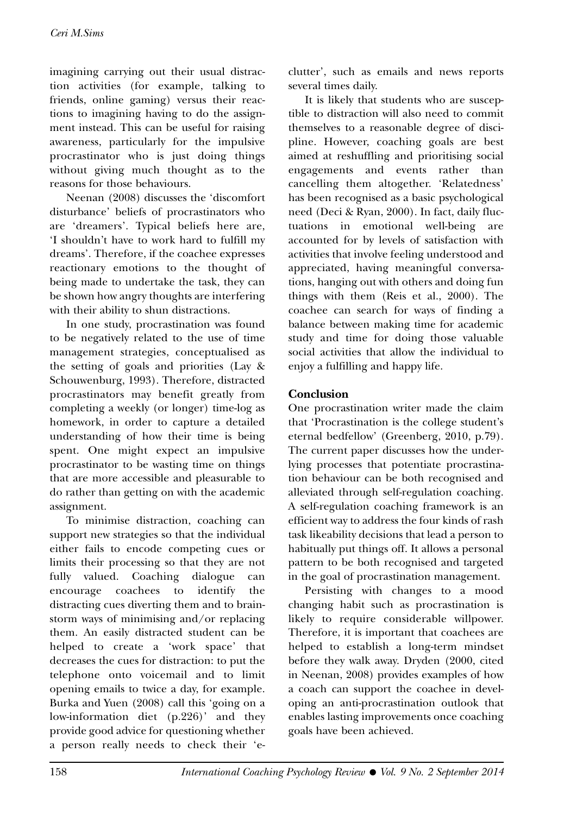imagining carrying out their usual distraction activities (for example, talking to friends, online gaming) versus their reactions to imagining having to do the assignment instead. This can be useful for raising awareness, particularly for the impulsive procrastinator who is just doing things without giving much thought as to the reasons for those behaviours.

Neenan (2008) discusses the 'discomfort disturbance' beliefs of procrastinators who are 'dreamers'. Typical beliefs here are, 'I shouldn't have to work hard to fulfill my dreams'. Therefore, if the coachee expresses reactionary emotions to the thought of being made to undertake the task, they can be shown how angry thoughts are interfering with their ability to shun distractions.

In one study, procrastination was found to be negatively related to the use of time management strategies, conceptualised as the setting of goals and priorities (Lay & Schouwenburg, 1993). Therefore, distracted procrastinators may benefit greatly from completing a weekly (or longer) time-log as homework, in order to capture a detailed understanding of how their time is being spent. One might expect an impulsive procrastinator to be wasting time on things that are more accessible and pleasurable to do rather than getting on with the academic assignment.

To minimise distraction, coaching can support new strategies so that the individual either fails to encode competing cues or limits their processing so that they are not fully valued. Coaching dialogue can encourage coachees to identify the distracting cues diverting them and to brainstorm ways of minimising and/or replacing them. An easily distracted student can be helped to create a 'work space' that decreases the cues for distraction: to put the telephone onto voicemail and to limit opening emails to twice a day, for example. Burka and Yuen (2008) call this 'going on a low-information diet (p.226)' and they provide good advice for questioning whether a person really needs to check their 'eclutter', such as emails and news reports several times daily.

It is likely that students who are susceptible to distraction will also need to commit themselves to a reasonable degree of discipline. However, coaching goals are best aimed at reshuffling and prioritising social engagements and events rather than cancelling them altogether. 'Relatedness' has been recognised as a basic psychological need (Deci & Ryan, 2000). In fact, daily fluctuations in emotional well-being are accounted for by levels of satisfaction with activities that involve feeling understood and appreciated, having meaningful conversations, hanging out with others and doing fun things with them (Reis et al., 2000). The coachee can search for ways of finding a balance between making time for academic study and time for doing those valuable social activities that allow the individual to enjoy a fulfilling and happy life.

#### **Conclusion**

One procrastination writer made the claim that 'Procrastination is the college student's eternal bedfellow' (Greenberg, 2010, p.79). The current paper discusses how the underlying processes that potentiate procrastination behaviour can be both recognised and alleviated through self-regulation coaching. A self-regulation coaching framework is an efficient way to address the four kinds of rash task likeability decisions that lead a person to habitually put things off. It allows a personal pattern to be both recognised and targeted in the goal of procrastination management.

Persisting with changes to a mood changing habit such as procrastination is likely to require considerable willpower. Therefore, it is important that coachees are helped to establish a long-term mindset before they walk away. Dryden (2000, cited in Neenan, 2008) provides examples of how a coach can support the coachee in developing an anti-procrastination outlook that enables lasting improvements once coaching goals have been achieved.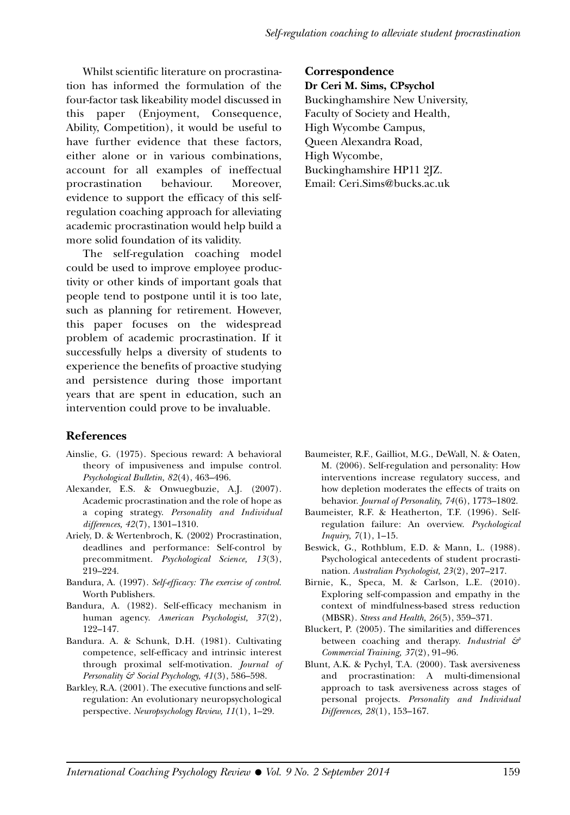Whilst scientific literature on procrastination has informed the formulation of the four-factor task likeability model discussed in this paper (Enjoyment, Consequence, Ability, Competition), it would be useful to have further evidence that these factors, either alone or in various combinations, account for all examples of ineffectual procrastination behaviour. Moreover, evidence to support the efficacy of this selfregulation coaching approach for alleviating academic procrastination would help build a more solid foundation of its validity.

The self-regulation coaching model could be used to improve employee productivity or other kinds of important goals that people tend to postpone until it is too late, such as planning for retirement. However, this paper focuses on the widespread problem of academic procrastination. If it successfully helps a diversity of students to experience the benefits of proactive studying and persistence during those important years that are spent in education, such an intervention could prove to be invaluable.

# **References**

- Ainslie, G. (1975). Specious reward: A behavioral theory of impusiveness and impulse control. *Psychological Bulletin, 82*(4), 463–496.
- Alexander, E.S. & Onwuegbuzie, A.J. (2007). Academic procrastination and the role of hope as a coping strategy. *Personality and Individual differences, 42*(7), 1301–1310.
- Ariely, D. & Wertenbroch, K. (2002) Procrastination, deadlines and performance: Self-control by precommitment. *Psychological Science, 13*(3), 219–224.
- Bandura, A. (1997). *Self-efficacy: The exercise of control.* Worth Publishers.
- Bandura, A. (1982). Self-efficacy mechanism in human agency. *American Psychologist, 37*(2), 122–147.
- Bandura. A. & Schunk, D.H. (1981). Cultivating competence, self-efficacy and intrinsic interest through proximal self-motivation. *Journal of Personality & Social Psychology, 41*(3), 586–598.
- Barkley, R.A. (2001). The executive functions and selfregulation: An evolutionary neuropsychological perspective. *Neuropsychology Review, 11*(1), 1–29.

**Correspondence Dr Ceri M. Sims, CPsychol** Buckinghamshire New University, Faculty of Society and Health, High Wycombe Campus, Queen Alexandra Road, High Wycombe, Buckinghamshire HP11 2JZ. Email: Ceri.Sims@bucks.ac.uk

- Baumeister, R.F., Gailliot, M.G., DeWall, N. & Oaten, M. (2006). Self-regulation and personality: How interventions increase regulatory success, and how depletion moderates the effects of traits on behavior. *Journal of Personality, 74*(6), 1773–1802.
- Baumeister, R.F. & Heatherton, T.F. (1996). Selfregulation failure: An overview. *Psychological Inquiry, 7*(1), 1–15.
- Beswick, G., Rothblum, E.D. & Mann, L. (1988). Psychological antecedents of student procrastination. *Australian Psychologist, 23*(2), 207–217.
- Birnie, K., Speca, M. & Carlson, L.E. (2010). Exploring self-compassion and empathy in the context of mindfulness-based stress reduction (MBSR). *Stress and Health, 26*(5), 359–371.
- Bluckert, P. (2005). The similarities and differences between coaching and therapy. *Industrial & Commercial Training, 37*(2), 91–96.
- Blunt, A.K. & Pychyl, T.A. (2000). Task aversiveness and procrastination: A multi-dimensional approach to task aversiveness across stages of personal projects. *Personality and Individual Differences, 28*(1), 153–167.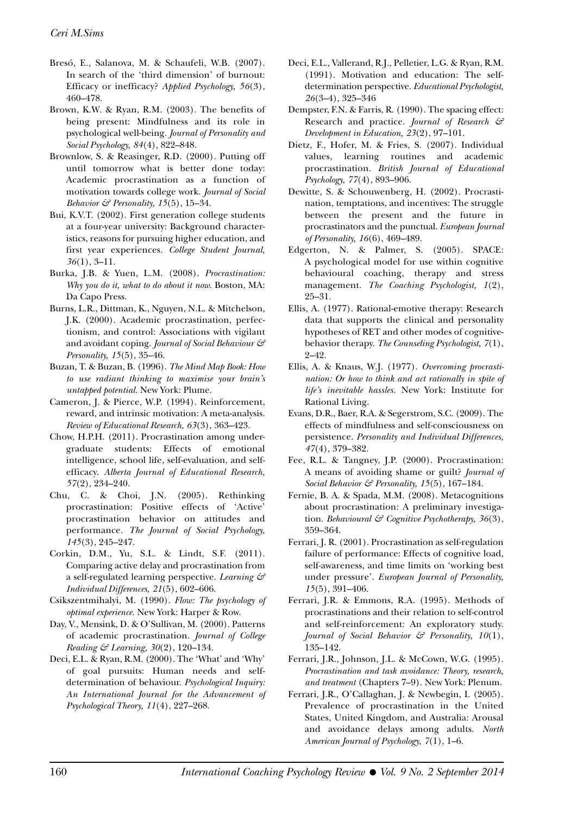- Bresó, E., Salanova, M. & Schaufeli, W.B. (2007). In search of the 'third dimension' of burnout: Efficacy or inefficacy? *Applied Psychology, 56*(3), 460–478.
- Brown, K.W. & Ryan, R.M. (2003). The benefits of being present: Mindfulness and its role in psychological well-being. *Journal of Personality and Social Psychology, 84*(4), 822–848.
- Brownlow, S. & Reasinger, R.D. (2000). Putting off until tomorrow what is better done today: Academic procrastination as a function of motivation towards college work. *Journal of Social Behavior & Personality, 15*(5), 15–34.
- Bui, K.V.T. (2002). First generation college students at a four-year university: Background characteristics, reasons for pursuing higher education, and first year experiences. *College Student Journal, 36*(1), 3–11.
- Burka, J.B. & Yuen, L.M. (2008). *Procrastination: Why you do it, what to do about it now.* Boston, MA: Da Capo Press.
- Burns, L.R., Dittman, K., Nguyen, N.L. & Mitchelson, J.K. (2000). Academic procrastination, perfectionism, and control: Associations with vigilant and avoidant coping. *Journal of Social Behaviour & Personality, 15*(5), 35–46.
- Buzan, T. & Buzan, B. (1996). *The Mind Map Book: How to use radiant thinking to maximise your brain's untapped potential.* New York: Plume.
- Cameron, J. & Pierce, W.P. (1994). Reinforcement, reward, and intrinsic motivation: A meta-analysis. *Review of Educational Research, 63*(3), 363–423.
- Chow, H.P.H. (2011). Procrastination among undergraduate students: Effects of emotional intelligence, school life, self-evaluation, and selfefficacy. *Alberta Journal of Educational Research, 57*(2), 234–240.
- Chu, C. & Choi, J.N. (2005). Rethinking procrastination: Positive effects of 'Active' procrastination behavior on attitudes and performance. *The Journal of Social Psychology, 145*(3), 245–247.
- Corkin, D.M., Yu, S.L. & Lindt, S.F. (2011). Comparing active delay and procrastination from a self-regulated learning perspective. *Learning & Individual Differences, 21*(5), 602–606.
- Csikszentmihalyi, M. (1990). *Flow: The psychology of optimal experience.* New York: Harper & Row.
- Day, V., Mensink, D. & O'Sullivan, M. (2000). Patterns of academic procrastination. *Journal of College Reading & Learning, 30*(2), 120–134.
- Deci, E.L. & Ryan, R.M. (2000). The 'What' and 'Why' of goal pursuits: Human needs and selfdetermination of behaviour. *Psychological Inquiry: An International Journal for the Advancement of Psychological Theory, 11*(4), 227–268.
- Deci, E.L., Vallerand, R.J., Pelletier, L.G. & Ryan, R.M. (1991). Motivation and education: The selfdetermination perspective. *Educational Psychologist, 26*(3–4), 325–346
- Dempster, F.N. & Farris, R. (1990). The spacing effect: Research and practice. *Journal of Research & Development in Education, 23*(2), 97–101.
- Dietz, F., Hofer, M. & Fries, S. (2007). Individual values, learning routines and academic procrastination. *British Journal of Educational Psychology, 77*(4), 893–906.
- Dewitte, S. & Schouwenberg, H. (2002). Procrastination, temptations, and incentives: The struggle between the present and the future in procrastinators and the punctual. *European Journal of Personality, 16*(6), 469–489.
- Edgerton, N. & Palmer, S. (2005). SPACE: A psychological model for use within cognitive behavioural coaching, therapy and stress management. *The Coaching Psychologist, 1*(2), 25–31.
- Ellis, A. (1977). Rational-emotive therapy: Research data that supports the clinical and personality hypotheses of RET and other modes of cognitivebehavior therapy. *The Counseling Psychologist, 7*(1), 2–42.
- Ellis, A. & Knaus, W.J. (1977). *Overcoming procrastination: Or how to think and act rationally in spite of life's inevitable hassles.* New York: Institute for Rational Living.
- Evans, D.R., Baer, R.A. & Segerstrom, S.C. (2009). The effects of mindfulness and self-consciousness on persistence. *Personality and Individual Differences, 47*(4), 379–382.
- Fee, R.L. & Tangney, J.P. (2000). Procrastination: A means of avoiding shame or guilt? *Journal of Social Behavior & Personality, 15*(5), 167–184.
- Fernie, B. A. & Spada, M.M. (2008). Metacognitions about procrastination: A preliminary investigation. *Behavioural & Cognitive Psychotherapy, 36*(3), 359–364.
- Ferrari, J. R. (2001). Procrastination as self-regulation failure of performance: Effects of cognitive load, self-awareness, and time limits on 'working best under pressure'. *European Journal of Personality, 15*(5), 391–406.
- Ferrari, J.R. & Emmons, R.A. (1995). Methods of procrastinations and their relation to self-control and self-reinforcement: An exploratory study. *Journal of Social Behavior & Personality, 10*(1), 135–142.
- Ferrari, J.R., Johnson, J.L. & McCown, W.G. (1995). *Procrastination and task avoidance: Theory, research, and treatment* (Chapters 7–9). New York: Plenum.
- Ferrari, J.R., O'Callaghan, J. & Newbegin, I. (2005). Prevalence of procrastination in the United States, United Kingdom, and Australia: Arousal and avoidance delays among adults. *North American Journal of Psychology, 7*(1), 1–6.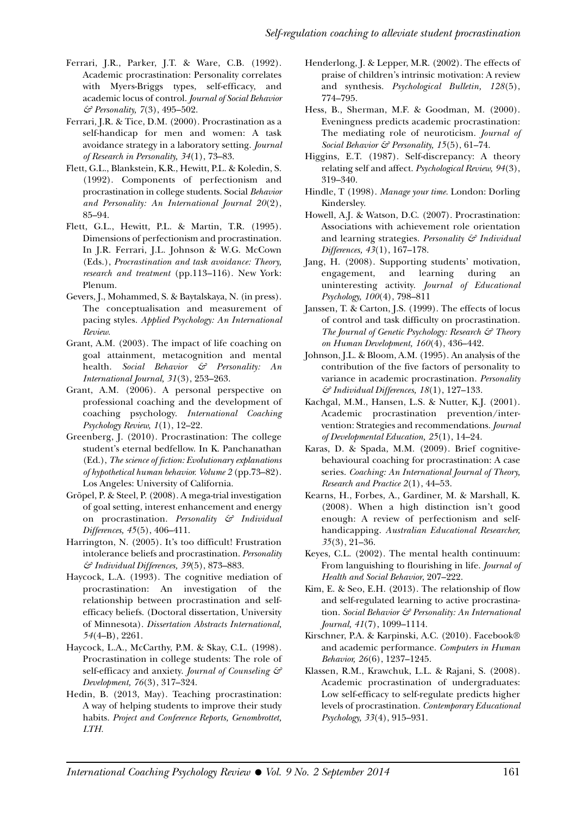- Ferrari, J.R., Parker, J.T. & Ware, C.B. (1992). Academic procrastination: Personality correlates with Myers-Briggs types, self-efficacy, and academic locus of control. *Journal of Social Behavior & Personality, 7*(3), 495–502.
- Ferrari, J.R. & Tice, D.M. (2000). Procrastination as a self-handicap for men and women: A task avoidance strategy in a laboratory setting. *Journal of Research in Personality, 34*(1), 73–83.
- Flett, G.L., Blankstein, K.R., Hewitt, P.L. & Koledin, S. (1992). Components of perfectionism and procrastination in college students. Social *Behavior and Personality: An International Journal 20*(2), 85–94.
- Flett, G.L., Hewitt, P.L. & Martin, T.R. (1995). Dimensions of perfectionism and procrastination. In J.R. Ferrari, J.L. Johnson & W.G. McCown (Eds.), *Procrastination and task avoidance: Theory, research and treatment* (pp.113–116). New York: Plenum.
- Gevers, J., Mohammed, S. & Baytalskaya, N. (in press). The conceptualisation and measurement of pacing styles. *Applied Psychology: An International Review.*
- Grant, A.M. (2003). The impact of life coaching on goal attainment, metacognition and mental health. *Social Behavior & Personality: An International Journal, 31*(3), 253–263.
- Grant, A.M. (2006). A personal perspective on professional coaching and the development of coaching psychology. *International Coaching Psychology Review, 1*(1), 12–22.
- Greenberg, J. (2010). Procrastination: The college student's eternal bedfellow. In K. Panchanathan (Ed.), *The science of fiction: Evolutionary explanations of hypothetical human behavior. Volume 2* (pp.73–82). Los Angeles: University of California.
- Gröpel, P. & Steel, P. (2008). A mega-trial investigation of goal setting, interest enhancement and energy on procrastination. *Personality & Individual Differences, 45*(5), 406–411.
- Harrington, N. (2005). It's too difficult! Frustration intolerance beliefs and procrastination. *Personality & Individual Differences, 39*(5), 873–883.
- Haycock, L.A. (1993). The cognitive mediation of procrastination: An investigation of the relationship between procrastination and selfefficacy beliefs. (Doctoral dissertation, University of Minnesota). *Dissertation Abstracts International, 54*(4–B), 2261.
- Haycock, L.A., McCarthy, P.M. & Skay, C.L. (1998). Procrastination in college students: The role of self-efficacy and anxiety. *Journal of Counseling & Development, 76*(3), 317–324.
- Hedin, B. (2013, May). Teaching procrastination: A way of helping students to improve their study habits. *Project and Conference Reports, Genombrottet, LTH.*
- Henderlong, J. & Lepper, M.R. (2002). The effects of praise of children's intrinsic motivation: A review and synthesis. *Psychological Bulletin, 128*(5), 774–795.
- Hess, B., Sherman, M.F. & Goodman, M. (2000). Eveningness predicts academic procrastination: The mediating role of neuroticism. *Journal of Social Behavior & Personality, 15*(5), 61–74.
- Higgins, E.T. (1987). Self-discrepancy: A theory relating self and affect. *Psychological Review, 94*(3), 319–340.
- Hindle, T (1998). *Manage your time.* London: Dorling Kindersley.
- Howell, A.J. & Watson, D.C. (2007). Procrastination: Associations with achievement role orientation and learning strategies. *Personality & Individual Differences, 43*(1), 167–178.
- Jang, H. (2008). Supporting students' motivation, engagement, and learning during an uninteresting activity. *Journal of Educational Psychology, 100*(4), 798–811
- Janssen, T. & Carton, J.S. (1999). The effects of locus of control and task difficulty on procrastination. *The Journal of Genetic Psychology: Research & Theory on Human Development, 160*(4), 436–442.
- Johnson, J.L. & Bloom, A.M. (1995). An analysis of the contribution of the five factors of personality to variance in academic procrastination. *Personality & Individual Differences, 18*(1), 127–133.
- Kachgal, M.M., Hansen, L.S. & Nutter, K.J. (2001). Academic procrastination prevention/intervention: Strategies and recommendations. *Journal of Developmental Education, 25*(1), 14–24.
- Karas, D. & Spada, M.M. (2009). Brief cognitivebehavioural coaching for procrastination: A case series. *Coaching: An International Journal of Theory, Research and Practice 2*(1), 44–53.
- Kearns, H., Forbes, A., Gardiner, M. & Marshall, K. (2008). When a high distinction isn't good enough: A review of perfectionism and selfhandicapping. *Australian Educational Researcher, 35*(3), 21–36.
- Keyes, C.L. (2002). The mental health continuum: From languishing to flourishing in life. *Journal of Health and Social Behavior*, 207–222.
- Kim, E. & Seo, E.H. (2013). The relationship of flow and self-regulated learning to active procrastination. *Social Behavior & Personality: An International Journal, 41*(7), 1099–1114.
- Kirschner, P.A. & Karpinski, A.C. (2010). Facebook® and academic performance. *Computers in Human Behavior, 26*(6), 1237–1245.
- Klassen, R.M., Krawchuk, L.L. & Rajani, S. (2008). Academic procrastination of undergraduates: Low self-efficacy to self-regulate predicts higher levels of procrastination. *Contemporary Educational Psychology, 33*(4), 915–931.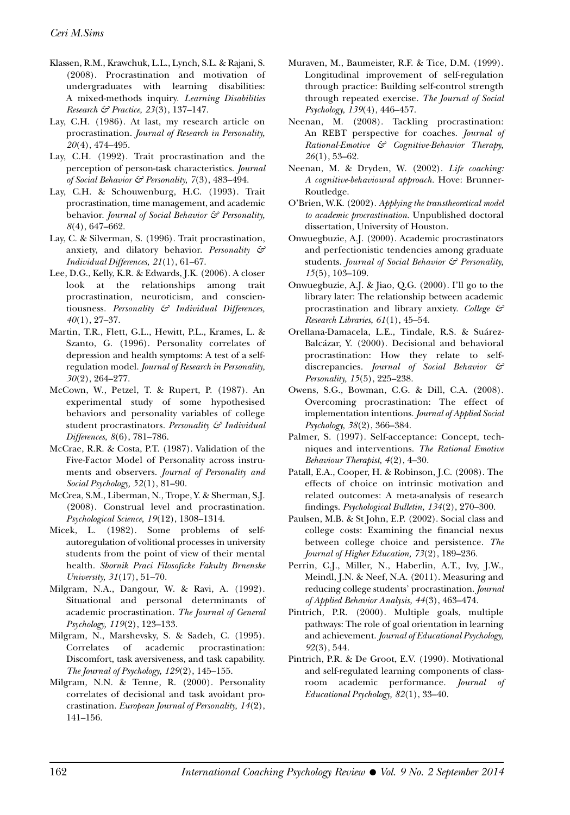- Klassen, R.M., Krawchuk, L.L., Lynch, S.L. & Rajani, S. (2008). Procrastination and motivation of undergraduates with learning disabilities: A mixed-methods inquiry. *Learning Disabilities Research & Practice, 23*(3), 137–147.
- Lay, C.H. (1986). At last, my research article on procrastination. *Journal of Research in Personality, 20*(4), 474–495.
- Lay, C.H. (1992). Trait procrastination and the perception of person-task characteristics. *Journal of Social Behavior & Personality, 7*(3), 483–494.
- Lay, C.H. & Schouwenburg, H.C. (1993). Trait procrastination, time management, and academic behavior. *Journal of Social Behavior & Personality, 8*(4), 647–662.
- Lay, C. & Silverman, S. (1996). Trait procrastination, anxiety, and dilatory behavior. *Personality & Individual Differences, 21*(1), 61–67.
- Lee, D.G., Kelly, K.R. & Edwards, J.K. (2006). A closer look at the relationships among trait procrastination, neuroticism, and conscientiousness. *Personality & Individual Differences, 40*(1), 27–37.
- Martin, T.R., Flett, G.L., Hewitt, P.L., Krames, L. & Szanto, G. (1996). Personality correlates of depression and health symptoms: A test of a selfregulation model. *Journal of Research in Personality, 30*(2), 264–277.
- McCown, W., Petzel, T. & Rupert, P. (1987). An experimental study of some hypothesised behaviors and personality variables of college student procrastinators. *Personality & Individual Differences, 8*(6), 781–786.
- McCrae, R.R. & Costa, P.T. (1987). Validation of the Five-Factor Model of Personality across instruments and observers. *Journal of Personality and Social Psychology, 52*(1), 81–90.
- McCrea, S.M., Liberman, N., Trope, Y. & Sherman, S.J. (2008). Construal level and procrastination. *Psychological Science, 19*(12), 1308–1314.
- Micek, L. (1982). Some problems of selfautoregulation of volitional processes in university students from the point of view of their mental health. *Sbornik Praci Filosoficke Fakulty Brnenske University, 31*(17), 51–70.
- Milgram, N.A., Dangour, W. & Ravi, A. (1992). Situational and personal determinants of academic procrastination. *The Journal of General Psychology, 119*(2), 123–133.
- Milgram, N., Marshevsky, S. & Sadeh, C. (1995). Correlates of academic procrastination: Discomfort, task aversiveness, and task capability. *The Journal of Psychology, 129*(2), 145–155.
- Milgram, N.N. & Tenne, R. (2000). Personality correlates of decisional and task avoidant procrastination. *European Journal of Personality, 14*(2), 141–156.
- Muraven, M., Baumeister, R.F. & Tice, D.M. (1999). Longitudinal improvement of self-regulation through practice: Building self-control strength through repeated exercise. *The Journal of Social Psychology, 139*(4), 446–457.
- Neenan, M. (2008). Tackling procrastination: An REBT perspective for coaches. *Journal of Rational-Emotive & Cognitive-Behavior Therapy, 26*(1), 53–62.
- Neenan, M. & Dryden, W. (2002). *Life coaching: A cognitive-behavioural approach.* Hove: Brunner-Routledge.
- O'Brien, W.K. (2002). *Applying the transtheoretical model to academic procrastination.* Unpublished doctoral dissertation, University of Houston.
- Onwuegbuzie, A.J. (2000). Academic procrastinators and perfectionistic tendencies among graduate students. *Journal of Social Behavior & Personality, 15*(5), 103–109.
- Onwuegbuzie, A.J. & Jiao, Q.G. (2000). I'll go to the library later: The relationship between academic procrastination and library anxiety. *College & Research Libraries, 61*(1), 45–54.
- Orellana-Damacela, L.E., Tindale, R.S. & Suárez-Balcázar, Y. (2000). Decisional and behavioral procrastination: How they relate to selfdiscrepancies. *Journal of Social Behavior & Personality, 15*(5), 225–238.
- Owens, S.G., Bowman, C.G. & Dill, C.A. (2008). Overcoming procrastination: The effect of implementation intentions. *Journal of Applied Social Psychology, 38*(2), 366–384.
- Palmer, S. (1997). Self-acceptance: Concept, techniques and interventions. *The Rational Emotive Behaviour Therapist, 4*(2), 4–30.
- Patall, E.A., Cooper, H. & Robinson, J.C. (2008). The effects of choice on intrinsic motivation and related outcomes: A meta-analysis of research findings. *Psychological Bulletin, 134*(2), 270–300.
- Paulsen, M.B. & St John, E.P. (2002). Social class and college costs: Examining the financial nexus between college choice and persistence. *The Journal of Higher Education, 73*(2), 189–236.
- Perrin, C.J., Miller, N., Haberlin, A.T., Ivy, J.W., Meindl, J.N. & Neef, N.A. (2011). Measuring and reducing college students' procrastination. *Journal of Applied Behavior Analysis, 44*(3), 463–474.
- Pintrich, P.R. (2000). Multiple goals, multiple pathways: The role of goal orientation in learning and achievement. *Journal of Educational Psychology, 92*(3), 544.
- Pintrich, P.R. & De Groot, E.V. (1990). Motivational and self-regulated learning components of classroom academic performance. *Journal of Educational Psychology, 82*(1), 33–40.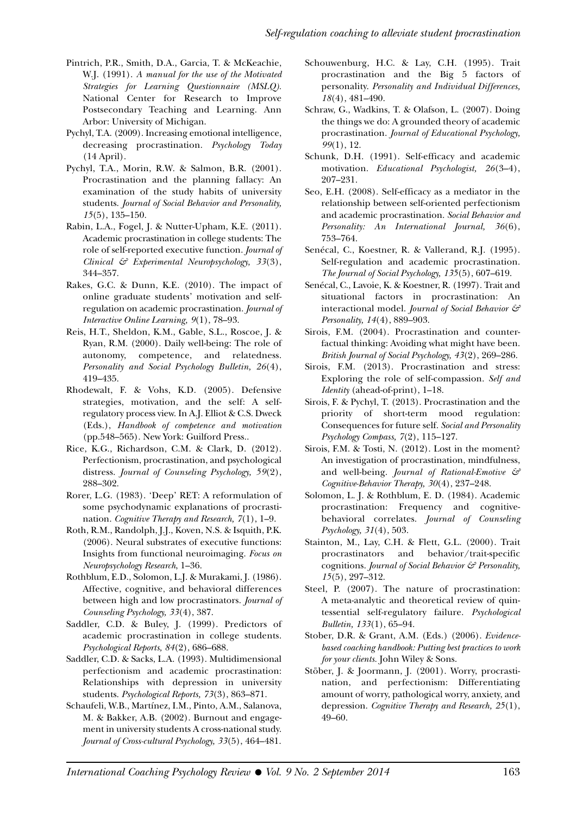- Pintrich, P.R., Smith, D.A., Garcia, T. & McKeachie, W.J. (1991). *A manual for the use of the Motivated Strategies for Learning Questionnaire (MSLQ).* National Center for Research to Improve Postsecondary Teaching and Learning. Ann Arbor: University of Michigan.
- Pychyl, T.A. (2009). Increasing emotional intelligence, decreasing procrastination. *Psychology Today* (14 April).
- Pychyl, T.A., Morin, R.W. & Salmon, B.R. (2001). Procrastination and the planning fallacy: An examination of the study habits of university students. *Journal of Social Behavior and Personality, 15*(5), 135–150.
- Rabin, L.A., Fogel, J. & Nutter-Upham, K.E. (2011). Academic procrastination in college students: The role of self-reported executive function. *Journal of Clinical & Experimental Neuropsychology, 33*(3), 344–357.
- Rakes, G.C. & Dunn, K.E. (2010). The impact of online graduate students' motivation and selfregulation on academic procrastination. *Journal of Interactive Online Learning, 9*(1), 78–93.
- Reis, H.T., Sheldon, K.M., Gable, S.L., Roscoe, J. & Ryan, R.M. (2000). Daily well-being: The role of autonomy, competence, and relatedness. *Personality and Social Psychology Bulletin, 26*(4), 419–435.
- Rhodewalt, F. & Vohs, K.D. (2005). Defensive strategies, motivation, and the self: A selfregulatory process view. In A.J. Elliot & C.S. Dweck (Eds.), *Handbook of competence and motivation* (pp.548–565). New York: Guilford Press..
- Rice, K.G., Richardson, C.M. & Clark, D. (2012). Perfectionism, procrastination, and psychological distress. *Journal of Counseling Psychology, 59*(2), 288–302.
- Rorer, L.G. (1983). 'Deep' RET: A reformulation of some psychodynamic explanations of procrastination. *Cognitive Therapy and Research, 7*(1), 1–9.
- Roth, R.M., Randolph, J.J., Koven, N.S. & Isquith, P.K. (2006). Neural substrates of executive functions: Insights from functional neuroimaging. *Focus on Neuropsychology Research*, 1–36.
- Rothblum, E.D., Solomon, L.J. & Murakami, J. (1986). Affective, cognitive, and behavioral differences between high and low procrastinators. *Journal of Counseling Psychology, 33*(4), 387.
- Saddler, C.D. & Buley, J. (1999). Predictors of academic procrastination in college students. *Psychological Reports, 84*(2), 686–688.
- Saddler, C.D. & Sacks, L.A. (1993). Multidimensional perfectionism and academic procrastination: Relationships with depression in university students. *Psychological Reports, 73*(3), 863–871.
- Schaufeli, W.B., Martínez, I.M., Pinto, A.M., Salanova, M. & Bakker, A.B. (2002). Burnout and engagement in university students A cross-national study. *Journal of Cross-cultural Psychology, 33*(5), 464–481.
- Schouwenburg, H.C. & Lay, C.H. (1995). Trait procrastination and the Big 5 factors of personality. *Personality and Individual Differences, 18*(4), 481–490.
- Schraw, G., Wadkins, T. & Olafson, L. (2007). Doing the things we do: A grounded theory of academic procrastination. *Journal of Educational Psychology, 99*(1), 12.
- Schunk, D.H. (1991). Self-efficacy and academic motivation. *Educational Psychologist, 26*(3–4), 207–231.
- Seo, E.H. (2008). Self-efficacy as a mediator in the relationship between self-oriented perfectionism and academic procrastination. *Social Behavior and Personality: An International Journal, 36*(6), 753–764.
- Senécal, C., Koestner, R. & Vallerand, R.J. (1995). Self-regulation and academic procrastination. *The Journal of Social Psychology, 135*(5), 607–619.
- Senécal, C., Lavoie, K. & Koestner, R. (1997). Trait and situational factors in procrastination: An interactional model. *Journal of Social Behavior & Personality, 14*(4), 889–903.
- Sirois, F.M. (2004). Procrastination and counterfactual thinking: Avoiding what might have been. *British Journal of Social Psychology, 43*(2), 269–286.
- Sirois, F.M. (2013). Procrastination and stress: Exploring the role of self-compassion. *Self and Identity* (ahead-of-print), 1–18.
- Sirois, F. & Pychyl, T. (2013). Procrastination and the priority of short-term mood regulation: Consequences for future self. *Social and Personality Psychology Compass, 7*(2), 115–127.
- Sirois, F.M. & Tosti, N. (2012). Lost in the moment? An investigation of procrastination, mindfulness, and well-being. *Journal of Rational-Emotive & Cognitive-Behavior Therapy, 30*(4), 237–248.
- Solomon, L. J. & Rothblum, E. D. (1984). Academic procrastination: Frequency and cognitivebehavioral correlates. *Journal of Counseling Psychology, 31*(4), 503.
- Stainton, M., Lay, C.H. & Flett, G.L. (2000). Trait procrastinators and behavior/trait-specific cognitions. *Journal of Social Behavior & Personality, 15*(5), 297–312.
- Steel, P. (2007). The nature of procrastination: A meta-analytic and theoretical review of quintessential self-regulatory failure. *Psychological Bulletin, 133*(1), 65–94.
- Stober, D.R. & Grant, A.M. (Eds.) (2006). *Evidencebased coaching handbook: Putting best practices to work for your clients.* John Wiley & Sons.
- Stöber, J. & Joormann, J. (2001). Worry, procrastination, and perfectionism: Differentiating amount of worry, pathological worry, anxiety, and depression. *Cognitive Therapy and Research, 25*(1), 49–60.